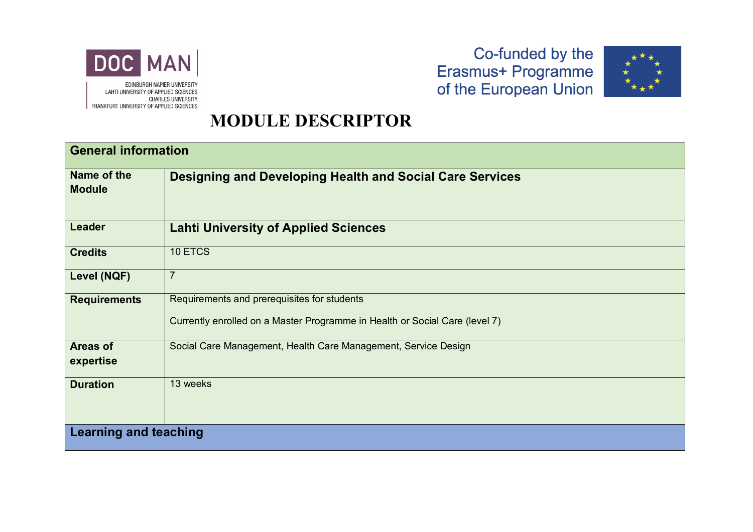

LAHTI UNIVERSITY OF APPLIED SCIENCES **CHARLES UNIVERSITY** FRANKFURT UNIVERSITY OF APPLIED SCIENCES

### Co-funded by the Erasmus+ Programme<br>of the European Union



#### **MODULE DESCRIPTOR**

| <b>General information</b>   |                                                                                                                            |  |
|------------------------------|----------------------------------------------------------------------------------------------------------------------------|--|
| Name of the<br><b>Module</b> | <b>Designing and Developing Health and Social Care Services</b>                                                            |  |
| <b>Leader</b>                | <b>Lahti University of Applied Sciences</b>                                                                                |  |
| <b>Credits</b>               | 10 ETCS                                                                                                                    |  |
| Level (NQF)                  | $\overline{7}$                                                                                                             |  |
| <b>Requirements</b>          | Requirements and prerequisites for students<br>Currently enrolled on a Master Programme in Health or Social Care (level 7) |  |
| <b>Areas of</b><br>expertise | Social Care Management, Health Care Management, Service Design                                                             |  |
| <b>Duration</b>              | 13 weeks                                                                                                                   |  |
| <b>Learning and teaching</b> |                                                                                                                            |  |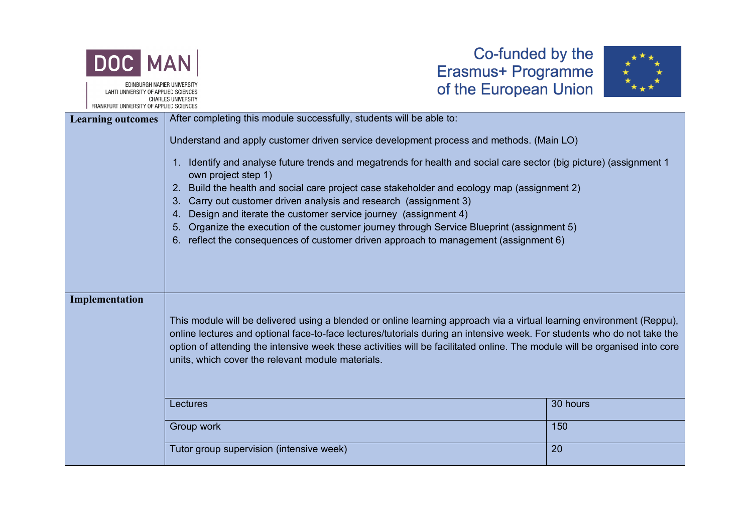

EDINBURGH NAPIER UNIVERSITY LAHTI UNIVERSITY OF APPLIED SCIENCES **CHARLES UNIVERSITY** OF APPLIED SCIENCE



| <b>FRANKFURT UNIVERSITY OF APPLIED SUIENGES</b> |                                                                                                                                                                                                                                                                                                                                                                                                                                                                                                                                                                                              |          |
|-------------------------------------------------|----------------------------------------------------------------------------------------------------------------------------------------------------------------------------------------------------------------------------------------------------------------------------------------------------------------------------------------------------------------------------------------------------------------------------------------------------------------------------------------------------------------------------------------------------------------------------------------------|----------|
| <b>Learning outcomes</b>                        | After completing this module successfully, students will be able to:                                                                                                                                                                                                                                                                                                                                                                                                                                                                                                                         |          |
|                                                 | Understand and apply customer driven service development process and methods. (Main LO)                                                                                                                                                                                                                                                                                                                                                                                                                                                                                                      |          |
|                                                 | 1. Identify and analyse future trends and megatrends for health and social care sector (big picture) (assignment 1<br>own project step 1)<br>Build the health and social care project case stakeholder and ecology map (assignment 2)<br>2.<br>Carry out customer driven analysis and research (assignment 3)<br>$3_{-}$<br>Design and iterate the customer service journey (assignment 4)<br>4.<br>Organize the execution of the customer journey through Service Blueprint (assignment 5)<br>5.<br>reflect the consequences of customer driven approach to management (assignment 6)<br>6. |          |
|                                                 |                                                                                                                                                                                                                                                                                                                                                                                                                                                                                                                                                                                              |          |
| Implementation                                  | This module will be delivered using a blended or online learning approach via a virtual learning environment (Reppu),<br>online lectures and optional face-to-face lectures/tutorials during an intensive week. For students who do not take the<br>option of attending the intensive week these activities will be facilitated online. The module will be organised into core<br>units, which cover the relevant module materials.                                                                                                                                                          |          |
|                                                 | Lectures                                                                                                                                                                                                                                                                                                                                                                                                                                                                                                                                                                                     | 30 hours |
|                                                 | Group work                                                                                                                                                                                                                                                                                                                                                                                                                                                                                                                                                                                   | 150      |
|                                                 | Tutor group supervision (intensive week)                                                                                                                                                                                                                                                                                                                                                                                                                                                                                                                                                     | 20       |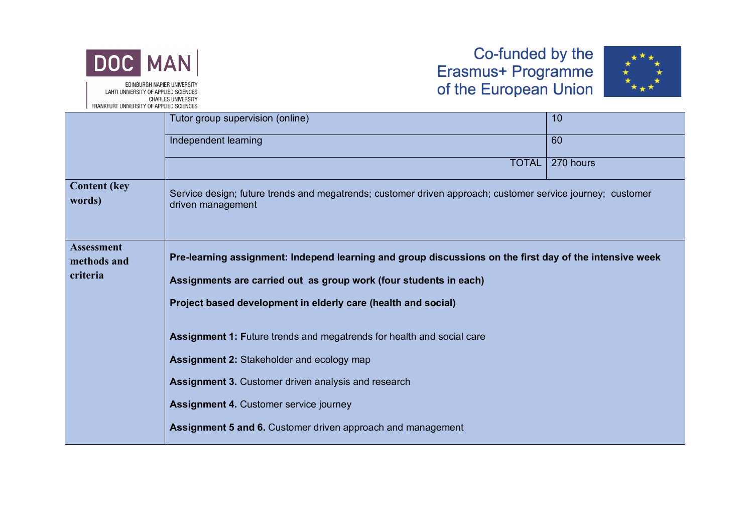



|                                  | Tutor group supervision (online)                                                                                                | 10        |  |  |  |
|----------------------------------|---------------------------------------------------------------------------------------------------------------------------------|-----------|--|--|--|
|                                  | Independent learning                                                                                                            | 60        |  |  |  |
|                                  | <b>TOTAL</b>                                                                                                                    | 270 hours |  |  |  |
| <b>Content (key)</b><br>words)   | Service design; future trends and megatrends; customer driven approach; customer service journey; customer<br>driven management |           |  |  |  |
| <b>Assessment</b><br>methods and | Pre-learning assignment: Independ learning and group discussions on the first day of the intensive week                         |           |  |  |  |
| criteria                         | Assignments are carried out as group work (four students in each)                                                               |           |  |  |  |
|                                  | Project based development in elderly care (health and social)                                                                   |           |  |  |  |
|                                  | <b>Assignment 1: Future trends and megatrends for health and social care</b>                                                    |           |  |  |  |
|                                  | Assignment 2: Stakeholder and ecology map                                                                                       |           |  |  |  |
|                                  | <b>Assignment 3. Customer driven analysis and research</b>                                                                      |           |  |  |  |
|                                  | <b>Assignment 4. Customer service journey</b>                                                                                   |           |  |  |  |
|                                  | Assignment 5 and 6. Customer driven approach and management                                                                     |           |  |  |  |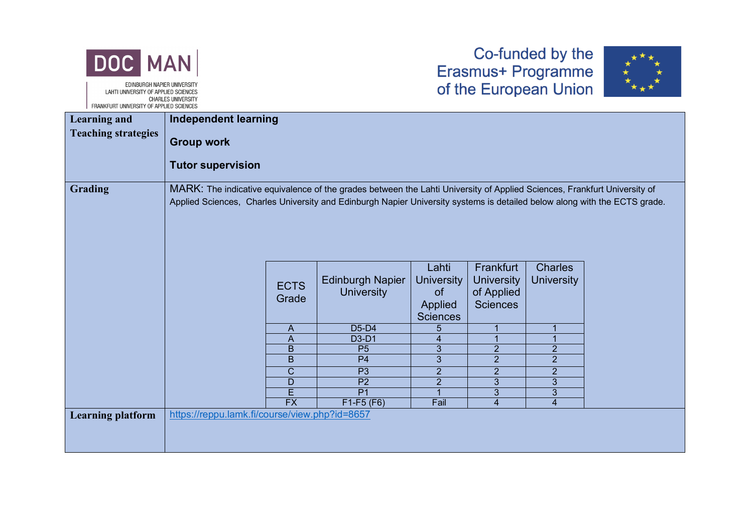



|                            | I TIMBRO ON UNIVERSITY OF ALL LILD OVILIBULD                                                                                                                                                                                                          |                      |                                              |                                                                           |                                                                 |                                     |  |
|----------------------------|-------------------------------------------------------------------------------------------------------------------------------------------------------------------------------------------------------------------------------------------------------|----------------------|----------------------------------------------|---------------------------------------------------------------------------|-----------------------------------------------------------------|-------------------------------------|--|
| <b>Learning and</b>        | <b>Independent learning</b>                                                                                                                                                                                                                           |                      |                                              |                                                                           |                                                                 |                                     |  |
| <b>Teaching strategies</b> | <b>Group work</b><br><b>Tutor supervision</b>                                                                                                                                                                                                         |                      |                                              |                                                                           |                                                                 |                                     |  |
| <b>Grading</b>             | MARK: The indicative equivalence of the grades between the Lahti University of Applied Sciences, Frankfurt University of<br>Applied Sciences, Charles University and Edinburgh Napier University systems is detailed below along with the ECTS grade. |                      |                                              |                                                                           |                                                                 |                                     |  |
|                            |                                                                                                                                                                                                                                                       | <b>ECTS</b><br>Grade | <b>Edinburgh Napier</b><br><b>University</b> | Lahti<br><b>University</b><br><sub>of</sub><br>Applied<br><b>Sciences</b> | Frankfurt<br><b>University</b><br>of Applied<br><b>Sciences</b> | <b>Charles</b><br><b>University</b> |  |
|                            |                                                                                                                                                                                                                                                       | A                    | D <sub>5</sub> -D <sub>4</sub>               | 5                                                                         | 1                                                               |                                     |  |
|                            |                                                                                                                                                                                                                                                       | A                    | D3-D1                                        |                                                                           |                                                                 |                                     |  |
|                            |                                                                                                                                                                                                                                                       | B                    | P <sub>5</sub>                               | 3                                                                         | $\overline{c}$                                                  | $\overline{2}$                      |  |
|                            |                                                                                                                                                                                                                                                       | B                    | P <sub>4</sub>                               | $\overline{3}$                                                            | $\overline{2}$                                                  | $\overline{2}$                      |  |
|                            |                                                                                                                                                                                                                                                       | $\mathsf C$          | P <sub>3</sub>                               | $\overline{2}$                                                            | $\overline{2}$                                                  | $\overline{2}$                      |  |
|                            |                                                                                                                                                                                                                                                       | D                    | P <sub>2</sub>                               | $\overline{2}$                                                            | $\mathbf{3}$                                                    | 3                                   |  |
|                            |                                                                                                                                                                                                                                                       | Ē                    | $\overline{P1}$                              |                                                                           | 3                                                               | 3                                   |  |
|                            |                                                                                                                                                                                                                                                       | $\overline{FX}$      | $F1-F5(F6)$                                  | Fail                                                                      | $\overline{4}$                                                  | 4                                   |  |
| <b>Learning platform</b>   | https://reppu.lamk.fi/course/view.php?id=8657                                                                                                                                                                                                         |                      |                                              |                                                                           |                                                                 |                                     |  |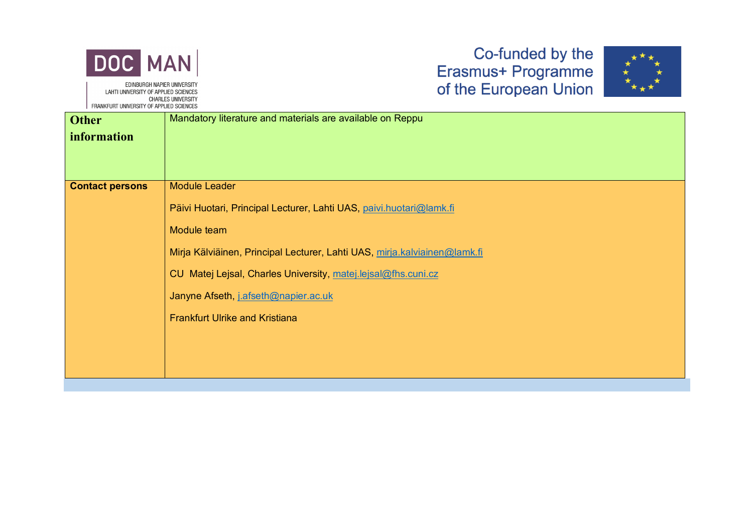



| <b>Other</b>           | Mandatory literature and materials are available on Reppu                 |
|------------------------|---------------------------------------------------------------------------|
| <i>information</i>     |                                                                           |
|                        |                                                                           |
|                        |                                                                           |
| <b>Contact persons</b> | Module Leader                                                             |
|                        | Päivi Huotari, Principal Lecturer, Lahti UAS, paivi.huotari@lamk.fi       |
|                        | Module team                                                               |
|                        | Mirja Kälviäinen, Principal Lecturer, Lahti UAS, mirja.kalviainen@lamk.fi |
|                        | CU Matej Lejsal, Charles University, matej.lejsal@fhs.cuni.cz             |
|                        | Janyne Afseth, j.afseth@napier.ac.uk                                      |
|                        | <b>Frankfurt Ulrike and Kristiana</b>                                     |
|                        |                                                                           |
|                        |                                                                           |
|                        |                                                                           |